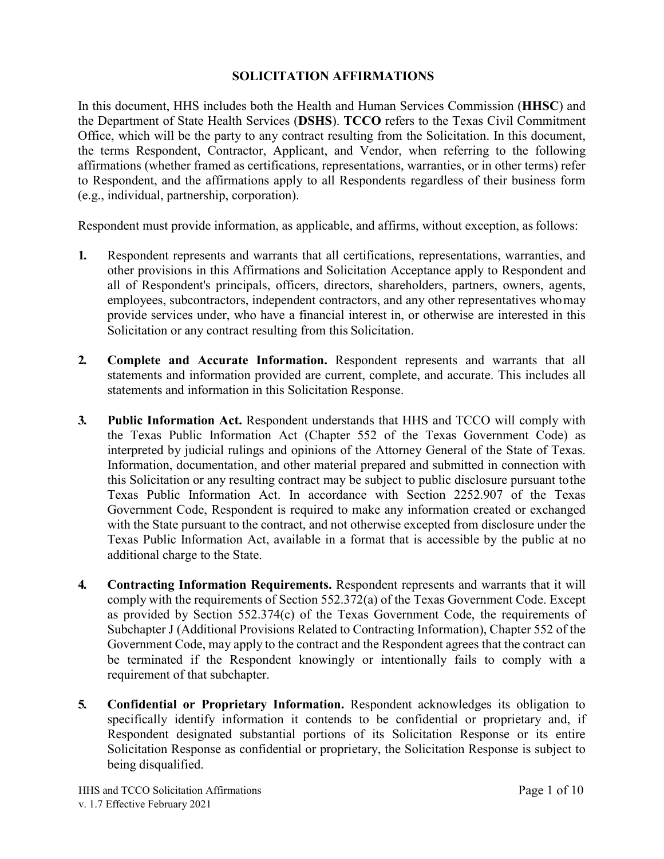## **SOLICITATION AFFIRMATIONS**

In this document, HHS includes both the Health and Human Services Commission (**HHSC**) and the Department of State Health Services (**DSHS**). **TCCO** refers to the Texas Civil Commitment Office, which will be the party to any contract resulting from the Solicitation. In this document, the terms Respondent, Contractor, Applicant, and Vendor, when referring to the following affirmations (whether framed as certifications, representations, warranties, or in other terms) refer to Respondent, and the affirmations apply to all Respondents regardless of their business form (e.g., individual, partnership, corporation).

Respondent must provide information, as applicable, and affirms, without exception, as follows:

- **1.** Respondent represents and warrants that all certifications, representations, warranties, and other provisions in this Affirmations and Solicitation Acceptance apply to Respondent and all of Respondent's principals, officers, directors, shareholders, partners, owners, agents, employees, subcontractors, independent contractors, and any other representatives whomay provide services under, who have a financial interest in, or otherwise are interested in this Solicitation or any contract resulting from this Solicitation.
- **2. Complete and Accurate Information.** Respondent represents and warrants that all statements and information provided are current, complete, and accurate. This includes all statements and information in this Solicitation Response.
- **3. Public Information Act.** Respondent understands that HHS and TCCO will comply with the Texas Public Information Act (Chapter 552 of the Texas Government Code) as interpreted by judicial rulings and opinions of the Attorney General of the State of Texas. Information, documentation, and other material prepared and submitted in connection with this Solicitation or any resulting contract may be subject to public disclosure pursuant tothe Texas Public Information Act. In accordance with Section 2252.907 of the Texas Government Code, Respondent is required to make any information created or exchanged with the State pursuant to the contract, and not otherwise excepted from disclosure under the Texas Public Information Act, available in a format that is accessible by the public at no additional charge to the State.
- **4. Contracting Information Requirements.** Respondent represents and warrants that it will comply with the requirements of Section 552.372(a) of the Texas Government Code. Except as provided by Section 552.374(c) of the Texas Government Code, the requirements of Subchapter J (Additional Provisions Related to Contracting Information), Chapter 552 of the Government Code, may apply to the contract and the Respondent agrees that the contract can be terminated if the Respondent knowingly or intentionally fails to comply with a requirement of that subchapter.
- **5. Confidential or Proprietary Information.** Respondent acknowledges its obligation to specifically identify information it contends to be confidential or proprietary and, if Respondent designated substantial portions of its Solicitation Response or its entire Solicitation Response as confidential or proprietary, the Solicitation Response is subject to being disqualified.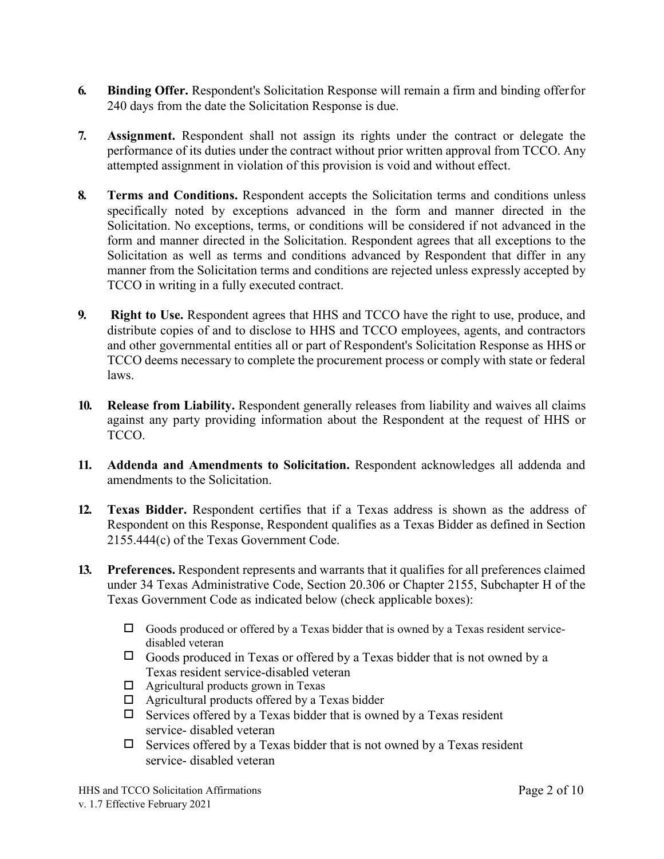- **6. Binding Offer.** Respondent's Solicitation Response will remain a firm and binding offerfor 240 days from the date the Solicitation Response is due.
- **7. Assignment.** Respondent shall not assign its rights under the contract or delegate the performance of its duties under the contract without prior written approval from TCCO. Any attempted assignment in violation of this provision is void and without effect.
- **8. Terms and Conditions.** Respondent accepts the Solicitation terms and conditions unless specifically noted by exceptions advanced in the form and manner directed in the Solicitation. No exceptions, terms, or conditions will be considered if not advanced in the form and manner directed in the Solicitation. Respondent agrees that all exceptions to the Solicitation as well as terms and conditions advanced by Respondent that differ in any manner from the Solicitation terms and conditions are rejected unless expressly accepted by TCCO in writing in a fully executed contract.
- **9. Right to Use.** Respondent agrees that HHS and TCCO have the right to use, produce, and distribute copies of and to disclose to HHS and TCCO employees, agents, and contractors and other governmental entities all or part of Respondent's Solicitation Response as HHS or TCCO deems necessary to complete the procurement process or comply with state or federal laws.
- **10. Release from Liability.** Respondent generally releases from liability and waives all claims against any party providing information about the Respondent at the request of HHS or TCCO.
- **11. Addenda and Amendments to Solicitation.** Respondent acknowledges all addenda and amendments to the Solicitation.
- **12. Texas Bidder.** Respondent certifies that if a Texas address is shown as the address of Respondent on this Response, Respondent qualifies as a Texas Bidder as defined in Section 2155.444(c) of the Texas Government Code.
- **13. Preferences.** Respondent represents and warrants that it qualifies for all preferences claimed under 34 Texas Administrative Code, Section 20.306 or Chapter 2155, Subchapter H of the Texas Government Code as indicated below (check applicable boxes):
	- $\Box$  Goods produced or offered by a Texas bidder that is owned by a Texas resident servicedisabled veteran
	- $\Box$  Goods produced in Texas or offered by a Texas bidder that is not owned by a Texas resident service-disabled veteran
	- Agricultural products grown in Texas
	- $\Box$  Agricultural products offered by a Texas bidder
	- $\Box$  Services offered by a Texas bidder that is owned by a Texas resident service- disabled veteran
	- $\Box$  Services offered by a Texas bidder that is not owned by a Texas resident service- disabled veteran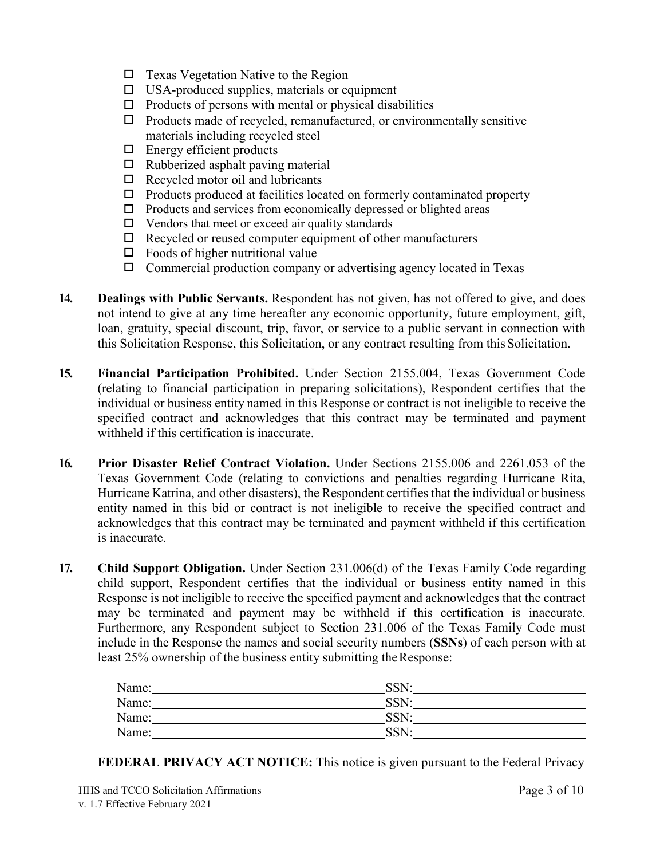- $\Box$  Texas Vegetation Native to the Region
- $\square$  USA-produced supplies, materials or equipment
- $\Box$  Products of persons with mental or physical disabilities
- $\Box$  Products made of recycled, remanufactured, or environmentally sensitive materials including recycled steel
- $\Box$  Energy efficient products
- $\Box$  Rubberized asphalt paving material
- $\Box$  Recycled motor oil and lubricants
- $\Box$  Products produced at facilities located on formerly contaminated property
- $\Box$  Products and services from economically depressed or blighted areas
- $\Box$  Vendors that meet or exceed air quality standards
- $\Box$  Recycled or reused computer equipment of other manufacturers
- $\Box$  Foods of higher nutritional value
- Commercial production company or advertising agency located in Texas
- **14. Dealings with Public Servants.** Respondent has not given, has not offered to give, and does not intend to give at any time hereafter any economic opportunity, future employment, gift, loan, gratuity, special discount, trip, favor, or service to a public servant in connection with this Solicitation Response, this Solicitation, or any contract resulting from this Solicitation.
- **15. Financial Participation Prohibited.** Under Section 2155.004, Texas Government Code (relating to financial participation in preparing solicitations), Respondent certifies that the individual or business entity named in this Response or contract is not ineligible to receive the specified contract and acknowledges that this contract may be terminated and payment withheld if this certification is inaccurate.
- **16. Prior Disaster Relief Contract Violation.** Under Sections 2155.006 and 2261.053 of the Texas Government Code (relating to convictions and penalties regarding Hurricane Rita, Hurricane Katrina, and other disasters), the Respondent certifies that the individual or business entity named in this bid or contract is not ineligible to receive the specified contract and acknowledges that this contract may be terminated and payment withheld if this certification is inaccurate.
- **17. Child Support Obligation.** Under Section 231.006(d) of the Texas Family Code regarding child support, Respondent certifies that the individual or business entity named in this Response is not ineligible to receive the specified payment and acknowledges that the contract may be terminated and payment may be withheld if this certification is inaccurate. Furthermore, any Respondent subject to Section 231.006 of the Texas Family Code must include in the Response the names and social security numbers (**SSNs**) of each person with at least 25% ownership of the business entity submitting theResponse:

| Name: | SSN: |
|-------|------|
| Name: | SSN: |
| Name: | SSN: |
| Name: | SSN: |

**FEDERAL PRIVACY ACT NOTICE:** This notice is given pursuant to the Federal Privacy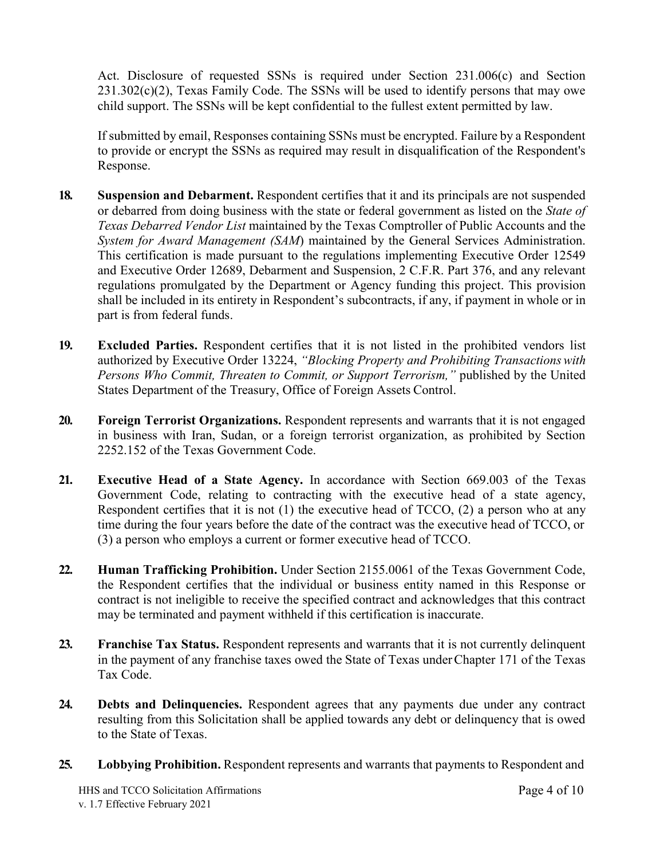Act. Disclosure of requested SSNs is required under Section 231.006(c) and Section  $231.302(c)(2)$ , Texas Family Code. The SSNs will be used to identify persons that may owe child support. The SSNs will be kept confidential to the fullest extent permitted by law.

If submitted by email, Responses containing SSNs must be encrypted. Failure by a Respondent to provide or encrypt the SSNs as required may result in disqualification of the Respondent's Response.

- **18. Suspension and Debarment.** Respondent certifies that it and its principals are not suspended or debarred from doing business with the state or federal government as listed on the *State of Texas Debarred Vendor List* maintained by the Texas Comptroller of Public Accounts and the *System for Award Management (SAM*) maintained by the General Services Administration. This certification is made pursuant to the regulations implementing Executive Order 12549 and Executive Order 12689, Debarment and Suspension, 2 C.F.R. Part 376, and any relevant regulations promulgated by the Department or Agency funding this project. This provision shall be included in its entirety in Respondent's subcontracts, if any, if payment in whole or in part is from federal funds.
- **19. Excluded Parties.** Respondent certifies that it is not listed in the prohibited vendors list authorized by Executive Order 13224, *"Blocking Property and Prohibiting Transactionswith Persons Who Commit, Threaten to Commit, or Support Terrorism,"* published by the United States Department of the Treasury, Office of Foreign Assets Control.
- **20. Foreign Terrorist Organizations.** Respondent represents and warrants that it is not engaged in business with Iran, Sudan, or a foreign terrorist organization, as prohibited by Section 2252.152 of the Texas Government Code.
- **21. Executive Head of a State Agency.** In accordance with Section 669.003 of the Texas Government Code, relating to contracting with the executive head of a state agency, Respondent certifies that it is not (1) the executive head of TCCO, (2) a person who at any time during the four years before the date of the contract was the executive head of TCCO, or (3) a person who employs a current or former executive head of TCCO.
- **22. Human Trafficking Prohibition.** Under Section 2155.0061 of the Texas Government Code, the Respondent certifies that the individual or business entity named in this Response or contract is not ineligible to receive the specified contract and acknowledges that this contract may be terminated and payment withheld if this certification is inaccurate.
- **23. Franchise Tax Status.** Respondent represents and warrants that it is not currently delinquent in the payment of any franchise taxes owed the State of Texas underChapter 171 of the Texas Tax Code.
- **24. Debts and Delinquencies.** Respondent agrees that any payments due under any contract resulting from this Solicitation shall be applied towards any debt or delinquency that is owed to the State of Texas.
- **25. Lobbying Prohibition.** Respondent represents and warrants that payments to Respondent and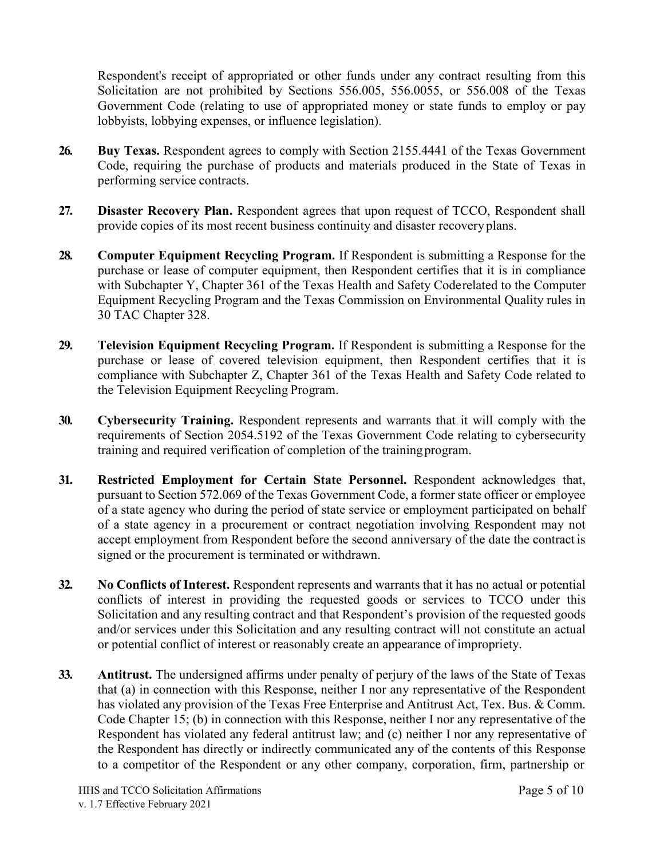Respondent's receipt of appropriated or other funds under any contract resulting from this Solicitation are not prohibited by Sections 556.005, 556.0055, or 556.008 of the Texas Government Code (relating to use of appropriated money or state funds to employ or pay lobbyists, lobbying expenses, or influence legislation).

- **26. Buy Texas.** Respondent agrees to comply with Section 2155.4441 of the Texas Government Code, requiring the purchase of products and materials produced in the State of Texas in performing service contracts.
- **27. Disaster Recovery Plan.** Respondent agrees that upon request of TCCO, Respondent shall provide copies of its most recent business continuity and disaster recovery plans.
- **28. Computer Equipment Recycling Program.** If Respondent is submitting a Response for the purchase or lease of computer equipment, then Respondent certifies that it is in compliance with Subchapter Y, Chapter 361 of the Texas Health and Safety Coderelated to the Computer Equipment Recycling Program and the Texas Commission on Environmental Quality rules in 30 TAC Chapter 328.
- **29. Television Equipment Recycling Program.** If Respondent is submitting a Response for the purchase or lease of covered television equipment, then Respondent certifies that it is compliance with Subchapter Z, Chapter 361 of the Texas Health and Safety Code related to the Television Equipment Recycling Program.
- **30. Cybersecurity Training.** Respondent represents and warrants that it will comply with the requirements of Section 2054.5192 of the Texas Government Code relating to cybersecurity training and required verification of completion of the trainingprogram.
- **31. Restricted Employment for Certain State Personnel.** Respondent acknowledges that, pursuant to Section 572.069 of the Texas Government Code, a former state officer or employee of a state agency who during the period of state service or employment participated on behalf of a state agency in a procurement or contract negotiation involving Respondent may not accept employment from Respondent before the second anniversary of the date the contract is signed or the procurement is terminated or withdrawn.
- **32. No Conflicts of Interest.** Respondent represents and warrants that it has no actual or potential conflicts of interest in providing the requested goods or services to TCCO under this Solicitation and any resulting contract and that Respondent's provision of the requested goods and/or services under this Solicitation and any resulting contract will not constitute an actual or potential conflict of interest or reasonably create an appearance of impropriety.
- **33. Antitrust.** The undersigned affirms under penalty of perjury of the laws of the State of Texas that (a) in connection with this Response, neither I nor any representative of the Respondent has violated any provision of the Texas Free Enterprise and Antitrust Act, Tex. Bus. & Comm. Code Chapter 15; (b) in connection with this Response, neither I nor any representative of the Respondent has violated any federal antitrust law; and (c) neither I nor any representative of the Respondent has directly or indirectly communicated any of the contents of this Response to a competitor of the Respondent or any other company, corporation, firm, partnership or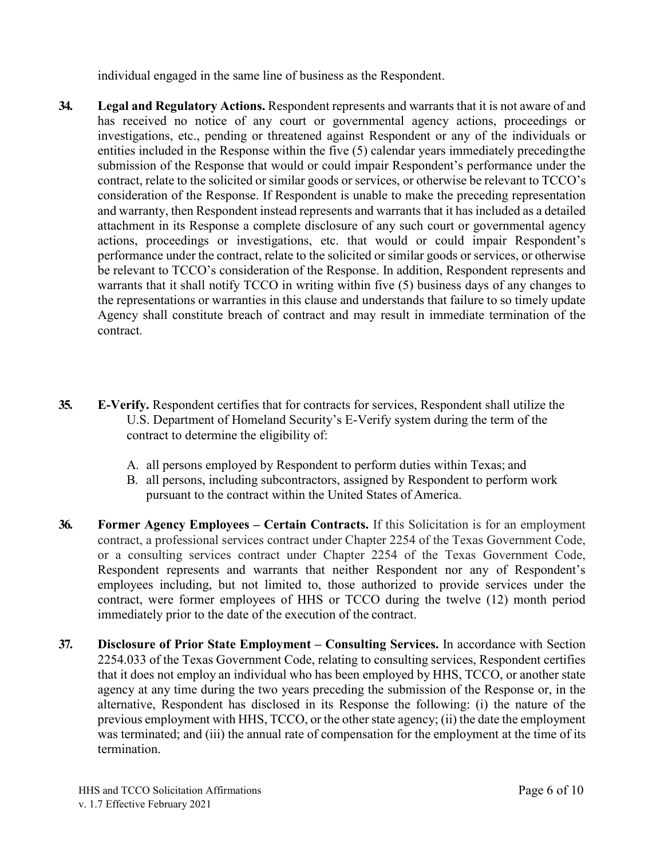individual engaged in the same line of business as the Respondent.

- **34. Legal and Regulatory Actions.** Respondent represents and warrants that it is not aware of and has received no notice of any court or governmental agency actions, proceedings or investigations, etc., pending or threatened against Respondent or any of the individuals or entities included in the Response within the five (5) calendar years immediately precedingthe submission of the Response that would or could impair Respondent's performance under the contract, relate to the solicited or similar goods or services, or otherwise be relevant to TCCO's consideration of the Response. If Respondent is unable to make the preceding representation and warranty, then Respondent instead represents and warrants that it has included as a detailed attachment in its Response a complete disclosure of any such court or governmental agency actions, proceedings or investigations, etc. that would or could impair Respondent's performance under the contract, relate to the solicited or similar goods or services, or otherwise be relevant to TCCO's consideration of the Response. In addition, Respondent represents and warrants that it shall notify TCCO in writing within five (5) business days of any changes to the representations or warranties in this clause and understands that failure to so timely update Agency shall constitute breach of contract and may result in immediate termination of the contract.
- **35. E-Verify.** Respondent certifies that for contracts for services, Respondent shall utilize the U.S. Department of Homeland Security's E-Verify system during the term of the contract to determine the eligibility of:
	- A. all persons employed by Respondent to perform duties within Texas; and
	- B. all persons, including subcontractors, assigned by Respondent to perform work pursuant to the contract within the United States of America.
- **36. Former Agency Employees – Certain Contracts.** If this Solicitation is for an employment contract, a professional services contract under Chapter 2254 of the Texas Government Code, or a consulting services contract under Chapter 2254 of the Texas Government Code, Respondent represents and warrants that neither Respondent nor any of Respondent's employees including, but not limited to, those authorized to provide services under the contract, were former employees of HHS or TCCO during the twelve (12) month period immediately prior to the date of the execution of the contract.
- **37. Disclosure of Prior State Employment – Consulting Services.** In accordance with Section 2254.033 of the Texas Government Code, relating to consulting services, Respondent certifies that it does not employ an individual who has been employed by HHS, TCCO, or another state agency at any time during the two years preceding the submission of the Response or, in the alternative, Respondent has disclosed in its Response the following: (i) the nature of the previous employment with HHS, TCCO, or the other state agency; (ii) the date the employment was terminated; and (iii) the annual rate of compensation for the employment at the time of its termination.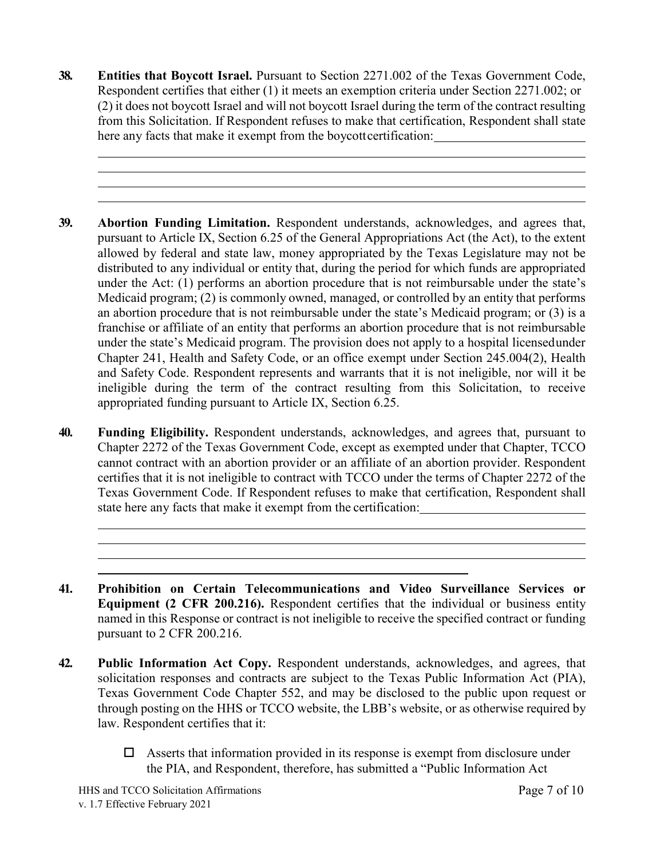- **38. Entities that Boycott Israel.** Pursuant to Section 2271.002 of the Texas Government Code, Respondent certifies that either (1) it meets an exemption criteria under Section 2271.002; or (2) it does not boycott Israel and will not boycott Israel during the term of the contract resulting from this Solicitation. If Respondent refuses to make that certification, Respondent shall state here any facts that make it exempt from the boycottcertification:
- **39. Abortion Funding Limitation.** Respondent understands, acknowledges, and agrees that, pursuant to Article IX, Section 6.25 of the General Appropriations Act (the Act), to the extent allowed by federal and state law, money appropriated by the Texas Legislature may not be distributed to any individual or entity that, during the period for which funds are appropriated under the Act: (1) performs an abortion procedure that is not reimbursable under the state's Medicaid program; (2) is commonly owned, managed, or controlled by an entity that performs an abortion procedure that is not reimbursable under the state's Medicaid program; or (3) is a franchise or affiliate of an entity that performs an abortion procedure that is not reimbursable under the state's Medicaid program. The provision does not apply to a hospital licensedunder Chapter 241, Health and Safety Code, or an office exempt under Section 245.004(2), Health and Safety Code. Respondent represents and warrants that it is not ineligible, nor will it be ineligible during the term of the contract resulting from this Solicitation, to receive appropriated funding pursuant to Article IX, Section 6.25.
- **40. Funding Eligibility.** Respondent understands, acknowledges, and agrees that, pursuant to Chapter 2272 of the Texas Government Code, except as exempted under that Chapter, TCCO cannot contract with an abortion provider or an affiliate of an abortion provider. Respondent certifies that it is not ineligible to contract with TCCO under the terms of Chapter 2272 of the Texas Government Code. If Respondent refuses to make that certification, Respondent shall state here any facts that make it exempt from the certification:
- **41. Prohibition on Certain Telecommunications and Video Surveillance Services or Equipment (2 CFR 200.216).** Respondent certifies that the individual or business entity named in this Response or contract is not ineligible to receive the specified contract or funding pursuant to 2 CFR 200.216.
- **42. Public Information Act Copy.** Respondent understands, acknowledges, and agrees, that solicitation responses and contracts are subject to the Texas Public Information Act (PIA), Texas Government Code Chapter 552, and may be disclosed to the public upon request or through posting on the HHS or TCCO website, the LBB's website, or as otherwise required by law. Respondent certifies that it:
	- $\Box$  Asserts that information provided in its response is exempt from disclosure under the PIA, and Respondent, therefore, has submitted a "Public Information Act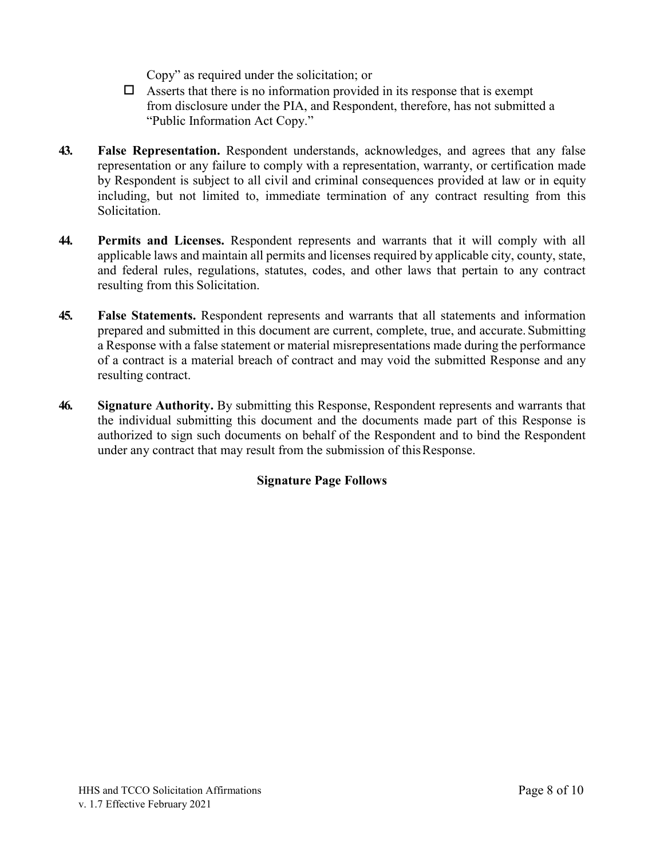Copy" as required under the solicitation; or

- $\Box$  Asserts that there is no information provided in its response that is exempt from disclosure under the PIA, and Respondent, therefore, has not submitted a "Public Information Act Copy."
- **43. False Representation.** Respondent understands, acknowledges, and agrees that any false representation or any failure to comply with a representation, warranty, or certification made by Respondent is subject to all civil and criminal consequences provided at law or in equity including, but not limited to, immediate termination of any contract resulting from this Solicitation.
- **44. Permits and Licenses.** Respondent represents and warrants that it will comply with all applicable laws and maintain all permits and licenses required by applicable city, county, state, and federal rules, regulations, statutes, codes, and other laws that pertain to any contract resulting from this Solicitation.
- **45. False Statements.** Respondent represents and warrants that all statements and information prepared and submitted in this document are current, complete, true, and accurate. Submitting a Response with a false statement or material misrepresentations made during the performance of a contract is a material breach of contract and may void the submitted Response and any resulting contract.
- **46. Signature Authority.** By submitting this Response, Respondent represents and warrants that the individual submitting this document and the documents made part of this Response is authorized to sign such documents on behalf of the Respondent and to bind the Respondent under any contract that may result from the submission of this Response.

## **Signature Page Follows**